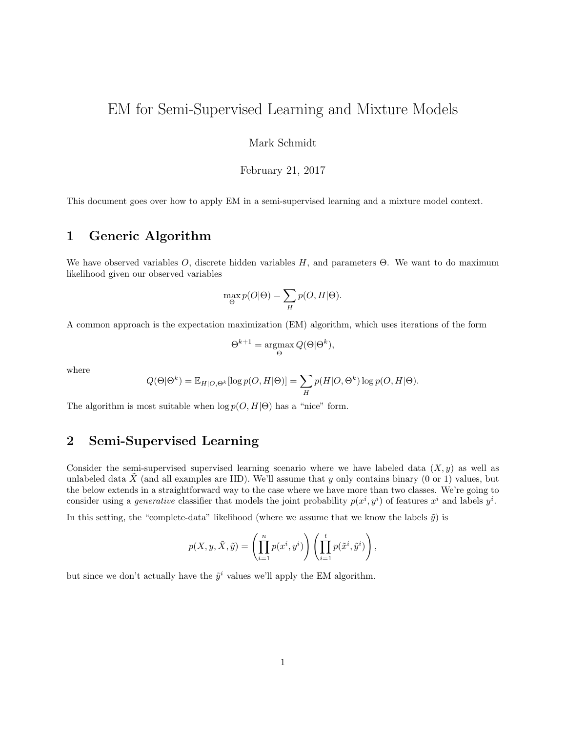# EM for Semi-Supervised Learning and Mixture Models

### Mark Schmidt

#### February 21, 2017

This document goes over how to apply EM in a semi-supervised learning and a mixture model context.

### 1 Generic Algorithm

We have observed variables  $O$ , discrete hidden variables  $H$ , and parameters  $\Theta$ . We want to do maximum likelihood given our observed variables

$$
\max_{\Theta} p(O|\Theta) = \sum_{H} p(O, H|\Theta).
$$

A common approach is the expectation maximization (EM) algorithm, which uses iterations of the form

$$
\Theta^{k+1} = \underset{\Theta}{\operatorname{argmax}} \, Q(\Theta | \Theta^k),
$$

where

$$
Q(\Theta|\Theta^k) = \mathbb{E}_{H|O,\Theta^k}[\log p(O,H|\Theta)] = \sum_{H} p(H|O,\Theta^k) \log p(O,H|\Theta).
$$

The algorithm is most suitable when  $\log p(O, H | \Theta)$  has a "nice" form.

# 2 Semi-Supervised Learning

Consider the semi-supervised supervised learning scenario where we have labeled data  $(X, y)$  as well as unlabeled data  $\hat{X}$  (and all examples are IID). We'll assume that y only contains binary (0 or 1) values, but the below extends in a straightforward way to the case where we have more than two classes. We're going to consider using a *generative* classifier that models the joint probability  $p(x^i, y^i)$  of features  $x^i$  and labels  $y^i$ .

In this setting, the "complete-data" likelihood (where we assume that we know the labels  $\tilde{y}$ ) is

$$
p(X, y, \tilde{X}, \tilde{y}) = \left(\prod_{i=1}^n p(x^i, y^i)\right) \left(\prod_{i=1}^t p(\tilde{x}^i, \tilde{y}^i)\right),
$$

but since we don't actually have the  $\tilde{y}^i$  values we'll apply the EM algorithm.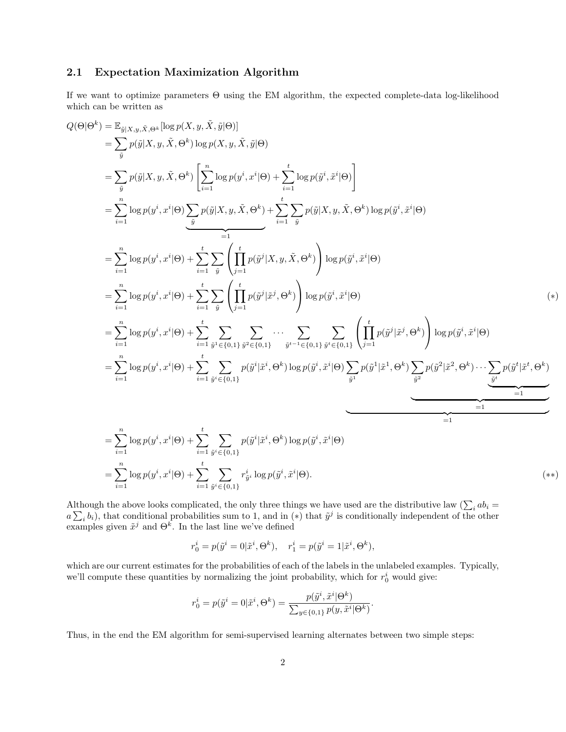### 2.1 Expectation Maximization Algorithm

If we want to optimize parameters Θ using the EM algorithm, the expected complete-data log-likelihood which can be written as

$$
Q(\Theta | \Theta^{k}) = \mathbb{E}_{\hat{y}|X,y,\hat{X},\Theta^{k}} \log p(X,y,\hat{X},\hat{y}|\Theta) \n= \sum_{\hat{y}} p(\hat{y}|X,y,\hat{X},\Theta^{k}) \log p(X,y,\hat{X},\hat{y}|\Theta) \n= \sum_{\hat{y}} p(\hat{y}|X,y,\hat{X},\Theta^{k}) \left[ \sum_{i=1}^{n} \log p(y^{i},x^{i}|\Theta) + \sum_{i=1}^{t} \log p(\hat{y}^{i},\hat{x}^{i}|\Theta) \right] \n= \sum_{i=1}^{n} \log p(y^{i},x^{i}|\Theta) \sum_{\hat{y}} p(\hat{y}|X,y,\hat{X},\Theta^{k}) + \sum_{i=1}^{t} \sum_{\hat{y}} p(\hat{y}|X,y,\hat{X},\Theta^{k}) \log p(\hat{y}^{i},\hat{x}^{i}|\Theta) \n= \sum_{i=1}^{n} \log p(y^{i},x^{i}|\Theta) + \sum_{i=1}^{t} \sum_{\hat{y}} \left( \prod_{j=1}^{t} p(\hat{y}^{j}|X,y,\hat{X},\Theta^{k}) \right) \log p(\hat{y}^{i},\hat{x}^{i}|\Theta) \n= \sum_{i=1}^{n} \log p(y^{i},x^{i}|\Theta) + \sum_{i=1}^{t} \sum_{\hat{y}} \left( \prod_{j=1}^{t} p(\hat{y}^{j}|\hat{x}^{j},\Theta^{k}) \right) \log p(\hat{y}^{i},\hat{x}^{i}|\Theta) \n= \sum_{i=1}^{n} \log p(y^{i},x^{i}|\Theta) + \sum_{i=1}^{t} \sum_{\hat{y}^{i} \in \{0,1\}} \sum_{\hat{y}^{i} \in \{0,1\}} \cdots \sum_{\hat{y}^{t-1} \in \{0,1\}} \sum_{\hat{y}^{i} \in \{0,1\}} \left( \prod_{j=1}^{t} p(\hat{y}^{j}|\hat{x}^{j},\Theta^{k}) \right) \log p(\hat{y}^{i},\hat{x}^{i}|\Theta) \n= \sum_{i=1}^{n} \log p(y^{i},x^{i}|\Theta) + \sum_{i=1}^{t} \sum_{\hat{y}^{i} \in \{0,1
$$

Although the above looks complicated, the only three things we have used are the distributive law ( $\sum_i ab_i =$  $a\sum_i b_i$ , that conditional probabilities sum to 1, and in (\*) that  $\tilde{y}^j$  is conditionally independent of the other examples given  $\tilde{x}^j$  and  $\Theta^k$ . In the last line we've defined

$$
r_0^i = p(\tilde{y}^i = 0 | \tilde{x}^i, \Theta^k), \quad r_1^i = p(\tilde{y}^i = 1 | \tilde{x}^i, \Theta^k),
$$

which are our current estimates for the probabilities of each of the labels in the unlabeled examples. Typically, we'll compute these quantities by normalizing the joint probability, which for  $r_0^i$  would give:

$$
r_0^i = p(\tilde{y}^i = 0 | \tilde{x}^i, \Theta^k) = \frac{p(\tilde{y}^i, \tilde{x}^i | \Theta^k)}{\sum_{y \in \{0, 1\}} p(y, \tilde{x}^i | \Theta^k)}.
$$

Thus, in the end the EM algorithm for semi-supervised learning alternates between two simple steps: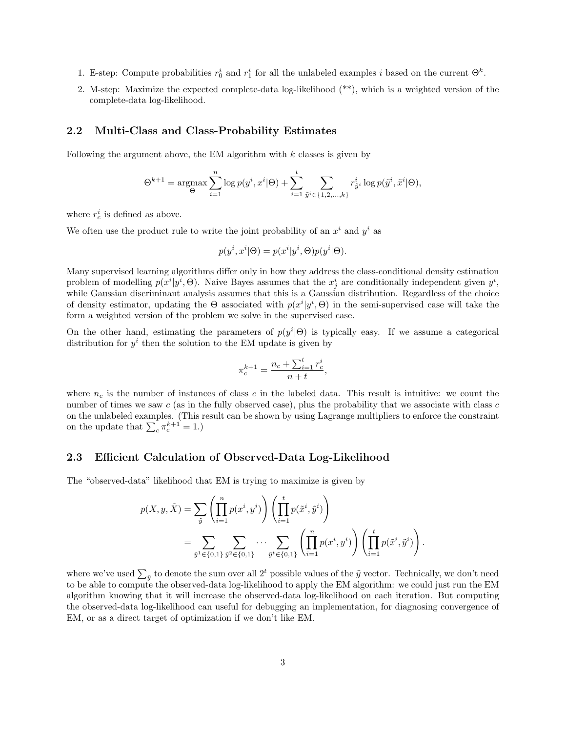- 1. E-step: Compute probabilities  $r_0^i$  and  $r_1^i$  for all the unlabeled examples i based on the current  $\Theta^k$ .
- 2. M-step: Maximize the expected complete-data log-likelihood (\*\*), which is a weighted version of the complete-data log-likelihood.

#### 2.2 Multi-Class and Class-Probability Estimates

Following the argument above, the EM algorithm with  $k$  classes is given by

$$
\Theta^{k+1} = \underset{\Theta}{\text{argmax}} \sum_{i=1}^{n} \log p(y^{i}, x^{i} | \Theta) + \sum_{i=1}^{t} \sum_{\tilde{y}^{i} \in \{1, 2, ..., k\}} r_{\tilde{y}^{i}}^{i} \log p(\tilde{y}^{i}, \tilde{x}^{i} | \Theta),
$$

where  $r_c^i$  is defined as above.

We often use the product rule to write the joint probability of an  $x^i$  and  $y^i$  as

$$
p(y^i, x^i | \Theta) = p(x^i | y^i, \Theta) p(y^i | \Theta).
$$

Many supervised learning algorithms differ only in how they address the class-conditional density estimation problem of modelling  $p(x^i|y^i, \Theta)$ . Naive Bayes assumes that the  $x_j^i$  are conditionally independent given  $y^i$ , while Gaussian discriminant analysis assumes that this is a Gaussian distribution. Regardless of the choice of density estimator, updating the  $\Theta$  associated with  $p(x^i|y^i,\Theta)$  in the semi-supervised case will take the form a weighted version of the problem we solve in the supervised case.

On the other hand, estimating the parameters of  $p(y^i|\Theta)$  is typically easy. If we assume a categorical distribution for  $y^i$  then the solution to the EM update is given by

$$
\pi_c^{k+1} = \frac{n_c + \sum_{i=1}^t r_c^i}{n+t},
$$

where  $n_c$  is the number of instances of class c in the labeled data. This result is intuitive: we count the number of times we saw  $c$  (as in the fully observed case), plus the probability that we associate with class  $c$ on the unlabeled examples. (This result can be shown by using Lagrange multipliers to enforce the constraint on the update that  $\sum_{c} \pi_c^{k+1} = 1.$ 

#### 2.3 Efficient Calculation of Observed-Data Log-Likelihood

The "observed-data" likelihood that EM is trying to maximize is given by

$$
p(X, y, \tilde{X}) = \sum_{\tilde{y}} \left( \prod_{i=1}^{n} p(x^{i}, y^{i}) \right) \left( \prod_{i=1}^{t} p(\tilde{x}^{i}, \tilde{y}^{i}) \right)
$$
  
= 
$$
\sum_{\tilde{y}^{1} \in \{0, 1\}} \sum_{\tilde{y}^{2} \in \{0, 1\}} \cdots \sum_{\tilde{y}^{t} \in \{0, 1\}} \left( \prod_{i=1}^{n} p(x^{i}, y^{i}) \right) \left( \prod_{i=1}^{t} p(\tilde{x}^{i}, \tilde{y}^{i}) \right).
$$

where we've used  $\sum_{\tilde{y}}$  to denote the sum over all  $2^t$  possible values of the  $\tilde{y}$  vector. Technically, we don't need to be able to compute the observed-data log-likelihood to apply the EM algorithm: we could just run the EM algorithm knowing that it will increase the observed-data log-likelihood on each iteration. But computing the observed-data log-likelihood can useful for debugging an implementation, for diagnosing convergence of EM, or as a direct target of optimization if we don't like EM.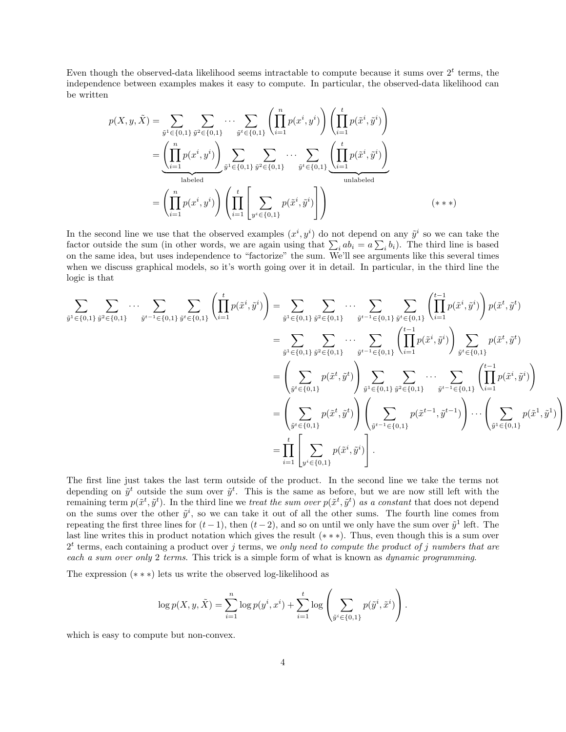Even though the observed-data likelihood seems intractable to compute because it sums over  $2<sup>t</sup>$  terms, the independence between examples makes it easy to compute. In particular, the observed-data likelihood can be written

$$
p(X, y, \tilde{X}) = \sum_{\tilde{y}^1 \in \{0, 1\}} \sum_{\tilde{y}^2 \in \{0, 1\}} \cdots \sum_{\tilde{y}^t \in \{0, 1\}} \left( \prod_{i=1}^n p(x^i, y^i) \right) \left( \prod_{i=1}^t p(\tilde{x}^i, \tilde{y}^i) \right)
$$
  
= 
$$
\underbrace{\left( \prod_{i=1}^n p(x^i, y^i) \right)}_{\text{labeled}} \sum_{\tilde{y}^1 \in \{0, 1\}} \sum_{\tilde{y}^2 \in \{0, 1\}} \cdots \sum_{\tilde{y}^t \in \{0, 1\}} \left( \prod_{i=1}^t p(\tilde{x}^i, \tilde{y}^i) \right)
$$
  
= 
$$
\left( \prod_{i=1}^n p(x^i, y^i) \right) \left( \prod_{i=1}^t \left[ \sum_{y^i \in \{0, 1\}} p(\tilde{x}^i, \tilde{y}^i) \right] \right)
$$
  
unlabeled  
unlabeled  
(\*\*\*)

In the second line we use that the observed examples  $(x^i, y^i)$  do not depend on any  $\tilde{y}^i$  so we can take the factor outside the sum (in other words, we are again using that  $\sum_i ab_i = a \sum_i b_i$ ). The third line is based on the same idea, but uses independence to "factorize" the sum. We'll see arguments like this several times when we discuss graphical models, so it's worth going over it in detail. In particular, in the third line the logic is that

$$
\sum_{\tilde{y}^1 \in \{0,1\}} \sum_{\tilde{y}^2 \in \{0,1\}} \cdots \sum_{\tilde{y}^{t-1} \in \{0,1\}} \left( \prod_{i=1}^t p(\tilde{x}^i, \tilde{y}^i) \right) = \sum_{\tilde{y}^1 \in \{0,1\}} \sum_{\tilde{y}^2 \in \{0,1\}} \cdots \sum_{\tilde{y}^{t-1} \in \{0,1\}} \sum_{\tilde{y}^t \in \{0,1\}} \left( \prod_{i=1}^{t-1} p(\tilde{x}^i, \tilde{y}^i) \right) p(\tilde{x}^t, \tilde{y}^t)
$$
\n
$$
= \sum_{\tilde{y}^1 \in \{0,1\}} \sum_{\tilde{y}^2 \in \{0,1\}} \cdots \sum_{\tilde{y}^t \in \{0,1\}} \left( \prod_{i=1}^{t-1} p(\tilde{x}^i, \tilde{y}^i) \right) \sum_{\tilde{y}^t \in \{0,1\}} p(\tilde{x}^t, \tilde{y}^t)
$$
\n
$$
= \left( \sum_{\tilde{y}^t \in \{0,1\}} p(\tilde{x}^t, \tilde{y}^t) \right) \sum_{\tilde{y}^1 \in \{0,1\}} \sum_{\tilde{y}^2 \in \{0,1\}} \cdots \sum_{\tilde{y}^{t-1} \in \{0,1\}} \left( \prod_{i=1}^{t-1} p(\tilde{x}^i, \tilde{y}^i) \right)
$$
\n
$$
= \left( \sum_{\tilde{y}^t \in \{0,1\}} p(\tilde{x}^t, \tilde{y}^t) \right) \left( \sum_{\tilde{y}^t \in \{0,1\}} p(\tilde{x}^{t-1}, \tilde{y}^{t-1}) \right) \cdots \left( \sum_{\tilde{y}^t \in \{0,1\}} p(\tilde{x}^1, \tilde{y}^1) \right)
$$
\n
$$
= \prod_{i=1}^t \left[ \sum_{y^i \in \{0,1\}} p(\tilde{x}^i, \tilde{y}^i) \right].
$$

The first line just takes the last term outside of the product. In the second line we take the terms not depending on  $\tilde{y}^t$  outside the sum over  $\tilde{y}^t$ . This is the same as before, but we are now still left with the remaining term  $p(\tilde{x}^t, \tilde{y}^t)$ . In the third line we treat the sum over  $p(\tilde{x}^t, \tilde{y}^t)$  as a constant that does not depend on the sums over the other  $\tilde{y}^i$ , so we can take it out of all the other sums. The fourth line comes from repeating the first three lines for  $(t-1)$ , then  $(t-2)$ , and so on until we only have the sum over  $\tilde{y}^1$  left. The last line writes this in product notation which gives the result (∗ ∗ ∗). Thus, even though this is a sum over  $2<sup>t</sup>$  terms, each containing a product over j terms, we only need to compute the product of j numbers that are each a sum over only 2 terms. This trick is a simple form of what is known as *dynamic programming*.

The expression (∗ ∗ ∗) lets us write the observed log-likelihood as

$$
\log p(X, y, \tilde{X}) = \sum_{i=1}^{n} \log p(y^{i}, x^{i}) + \sum_{i=1}^{t} \log \left( \sum_{\tilde{y}^{i} \in \{0, 1\}} p(\tilde{y}^{i}, \tilde{x}^{i}) \right).
$$

which is easy to compute but non-convex.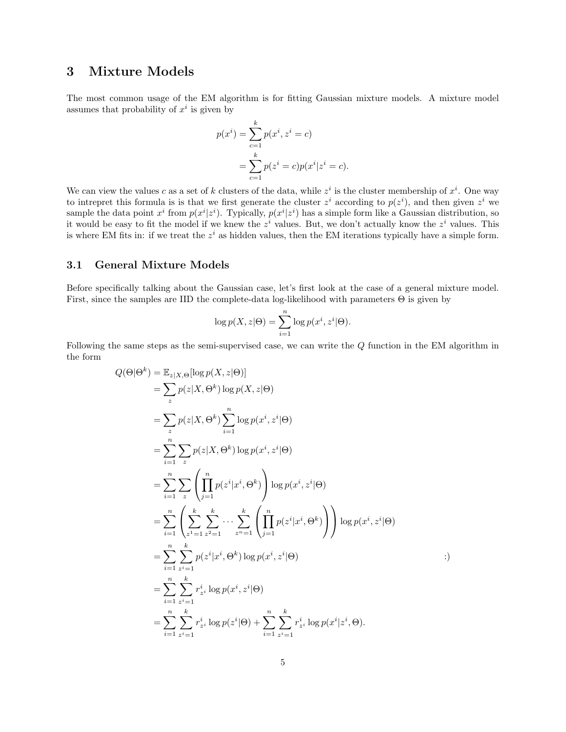# 3 Mixture Models

The most common usage of the EM algorithm is for fitting Gaussian mixture models. A mixture model assumes that probability of  $x^i$  is given by

$$
p(x^{i}) = \sum_{c=1}^{k} p(x^{i}, z^{i} = c)
$$
  
= 
$$
\sum_{c=1}^{k} p(z^{i} = c)p(x^{i}|z^{i} = c).
$$

We can view the values c as a set of k clusters of the data, while  $z^i$  is the cluster membership of  $x^i$ . One way to intrepret this formula is is that we first generate the cluster  $z^i$  according to  $p(z^i)$ , and then given  $z^i$  we sample the data point  $x^i$  from  $p(x^i | z^i)$ . Typically,  $p(x^i | z^i)$  has a simple form like a Gaussian distribution, so it would be easy to fit the model if we knew the  $z^i$  values. But, we don't actually know the  $z^i$  values. This is where EM fits in: if we treat the  $z^i$  as hidden values, then the EM iterations typically have a simple form.

#### 3.1 General Mixture Models

Before specifically talking about the Gaussian case, let's first look at the case of a general mixture model. First, since the samples are IID the complete-data log-likelihood with parameters Θ is given by

$$
\log p(X, z | \Theta) = \sum_{i=1}^{n} \log p(x^{i}, z^{i} | \Theta).
$$

Following the same steps as the semi-supervised case, we can write the Q function in the EM algorithm in the form

$$
Q(\Theta | \Theta^{k}) = \mathbb{E}_{z|X,\Theta}[\log p(X, z | \Theta)]
$$
  
\n
$$
= \sum_{z} p(z | X, \Theta^{k}) \log p(X, z | \Theta)
$$
  
\n
$$
= \sum_{z} p(z | X, \Theta^{k}) \sum_{i=1}^{n} \log p(x^{i}, z^{i} | \Theta)
$$
  
\n
$$
= \sum_{i=1}^{n} \sum_{z} p(z | X, \Theta^{k}) \log p(x^{i}, z^{i} | \Theta)
$$
  
\n
$$
= \sum_{i=1}^{n} \sum_{z} \left( \prod_{j=1}^{n} p(z^{i} | x^{i}, \Theta^{k}) \right) \log p(x^{i}, z^{i} | \Theta)
$$
  
\n
$$
= \sum_{i=1}^{n} \left( \sum_{z^{1}=1}^{k} \sum_{z^{2}=1}^{k} \cdots \sum_{z^{n}=1}^{k} \left( \prod_{j=1}^{n} p(z^{i} | x^{i}, \Theta^{k}) \right) \right) \log p(x^{i}, z^{i} | \Theta)
$$
  
\n
$$
= \sum_{i=1}^{n} \sum_{z^{i}=1}^{k} p(z^{i} | x^{i}, \Theta^{k}) \log p(x^{i}, z^{i} | \Theta)
$$
  
\n
$$
= \sum_{i=1}^{n} \sum_{z^{i}=1}^{k} r_{z^{i}}^{i} \log p(x^{i}, z^{i} | \Theta)
$$
  
\n
$$
= \sum_{i=1}^{n} \sum_{z^{i}=1}^{k} r_{z^{i}}^{i} \log p(z^{i} | \Theta) + \sum_{i=1}^{n} \sum_{z^{i}=1}^{k} r_{z^{i}}^{i} \log p(x^{i} | z^{i}, \Theta).
$$